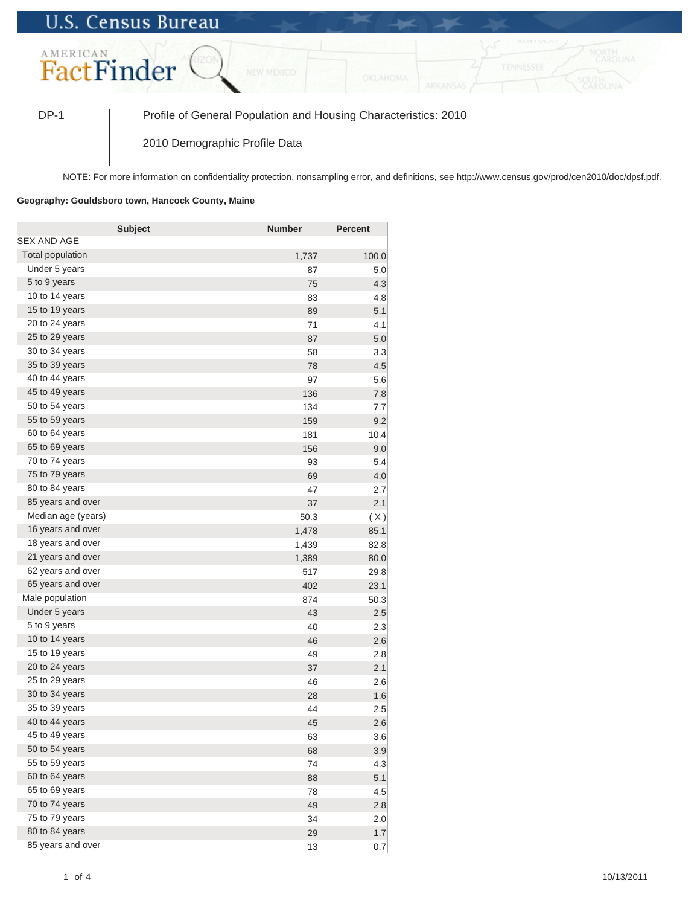## **U.S. Census Bureau**



DP-1 Profile of General Population and Housing Characteristics: 2010

2010 Demographic Profile Data

NOTE: For more information on confidentiality protection, nonsampling error, and definitions, see http://www.census.gov/prod/cen2010/doc/dpsf.pdf.

## **Geography: Gouldsboro town, Hancock County, Maine**

| <b>Subject</b>     | <b>Number</b> | <b>Percent</b> |
|--------------------|---------------|----------------|
| SEX AND AGE        |               |                |
| Total population   | 1,737         | 100.0          |
| Under 5 years      | 87            | 5.0            |
| 5 to 9 years       | 75            | 4.3            |
| 10 to 14 years     | 83            | 4.8            |
| 15 to 19 years     | 89            | 5.1            |
| 20 to 24 years     | 71            | 4.1            |
| 25 to 29 years     | 87            | 5.0            |
| 30 to 34 years     | 58            | 3.3            |
| 35 to 39 years     | 78            | 4.5            |
| 40 to 44 years     | 97            | 5.6            |
| 45 to 49 years     | 136           | 7.8            |
| 50 to 54 years     | 134           | 7.7            |
| 55 to 59 years     | 159           | 9.2            |
| 60 to 64 years     | 181           | 10.4           |
| 65 to 69 years     | 156           | 9.0            |
| 70 to 74 years     | 93            | 5.4            |
| 75 to 79 years     | 69            | 4.0            |
| 80 to 84 years     | 47            | 2.7            |
| 85 years and over  | 37            | 2.1            |
| Median age (years) | 50.3          | (X)            |
| 16 years and over  | 1,478         | 85.1           |
| 18 years and over  | 1,439         | 82.8           |
| 21 years and over  | 1,389         | 80.0           |
| 62 years and over  | 517           | 29.8           |
| 65 years and over  | 402           | 23.1           |
| Male population    | 874           | 50.3           |
| Under 5 years      | 43            | 2.5            |
| 5 to 9 years       | 40            | 2.3            |
| 10 to 14 years     | 46            | 2.6            |
| 15 to 19 years     | 49            | 2.8            |
| 20 to 24 years     | 37            | 2.1            |
| 25 to 29 years     | 46            | 2.6            |
| 30 to 34 years     | 28            | 1.6            |
| 35 to 39 years     | 44            | 2.5            |
| 40 to 44 years     | 45            | 2.6            |
| 45 to 49 years     | 63            | 3.6            |
| 50 to 54 years     | 68            | 3.9            |
| 55 to 59 years     | 74            | 4.3            |
| 60 to 64 years     | 88            | 5.1            |
| 65 to 69 years     | 78            | 4.5            |
| 70 to 74 years     | 49            | 2.8            |
| 75 to 79 years     | 34            | 2.0            |
| 80 to 84 years     | 29            | 1.7            |
| 85 years and over  | 13            | 0.7            |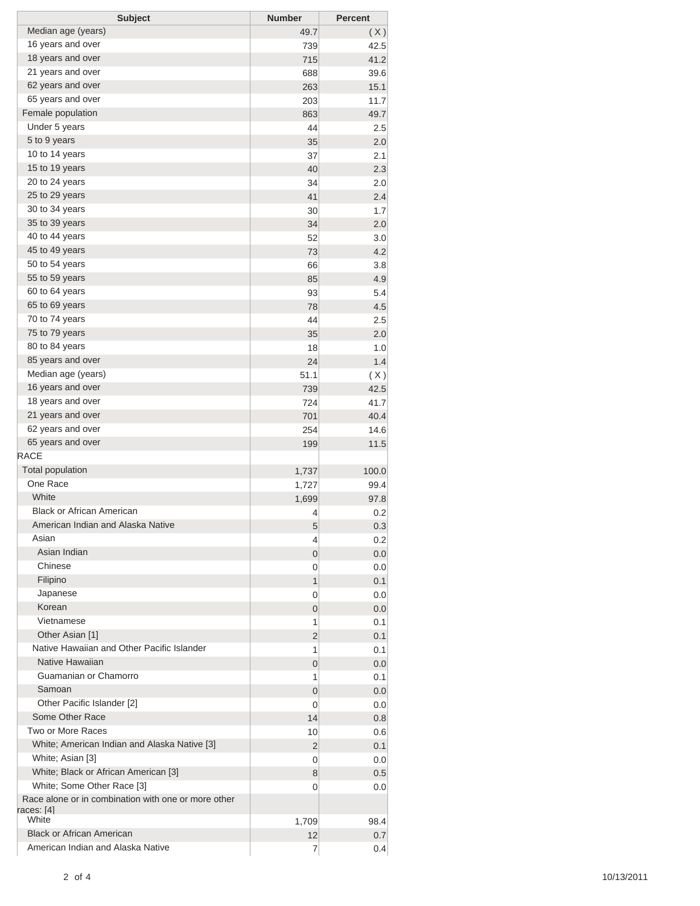| <b>Subject</b>                                                    | <b>Number</b> | <b>Percent</b> |
|-------------------------------------------------------------------|---------------|----------------|
| Median age (years)                                                | 49.7          | (X)            |
| 16 years and over                                                 | 739           | 42.5           |
| 18 years and over                                                 | 715           | 41.2           |
| 21 years and over                                                 | 688           | 39.6           |
| 62 years and over                                                 | 263           | 15.1           |
| 65 years and over                                                 | 203           | 11.7           |
| Female population                                                 | 863           | 49.7           |
| Under 5 years                                                     | 44            | 2.5            |
| 5 to 9 years                                                      | 35            | 2.0            |
| 10 to 14 years                                                    | 37            | 2.1            |
| 15 to 19 years                                                    | 40            | 2.3            |
| 20 to 24 years                                                    | 34            | 2.0            |
| 25 to 29 years                                                    | 41            | 2.4            |
| 30 to 34 years                                                    | 30            | 1.7            |
| 35 to 39 years                                                    | 34            | 2.0            |
| 40 to 44 years                                                    | 52            | 3.0            |
| 45 to 49 years                                                    | 73            | 4.2            |
| 50 to 54 years                                                    | 66            | 3.8            |
| 55 to 59 years                                                    | 85            | 4.9            |
| 60 to 64 years                                                    | 93            | 5.4            |
| 65 to 69 years                                                    | 78            | 4.5            |
| 70 to 74 years<br>75 to 79 years                                  | 44            | 2.5            |
| 80 to 84 years                                                    | 35            | 2.0            |
|                                                                   | 18            | 1.0            |
| 85 years and over                                                 | 24            | 1.4            |
| Median age (years)                                                | 51.1          | (X)            |
| 16 years and over<br>18 years and over                            | 739           | 42.5           |
| 21 years and over                                                 | 724           | 41.7           |
| 62 years and over                                                 | 701<br>254    | 40.4           |
| 65 years and over                                                 | 199           | 14.6<br>11.5   |
| <b>RACE</b>                                                       |               |                |
| <b>Total population</b>                                           | 1,737         | 100.0          |
| One Race                                                          | 1,727         | 99.4           |
| White                                                             | 1,699         | 97.8           |
| <b>Black or African American</b>                                  | 4             | 0.2            |
| American Indian and Alaska Native                                 | 5             | 0.3            |
| Asian                                                             | 4             | 0.2            |
| Asian Indian                                                      | 0             | 0.0            |
| Chinese                                                           | 0             | 0.0            |
| Filipino                                                          | 1             | 0.1            |
| Japanese                                                          | 0             | 0.0            |
| Korean                                                            | 0             | 0.0            |
| Vietnamese                                                        | 1             | 0.1            |
| Other Asian [1]                                                   | 2             | 0.1            |
| Native Hawaiian and Other Pacific Islander                        | 1             | 0.1            |
| Native Hawaiian                                                   | 0             | 0.0            |
| Guamanian or Chamorro                                             | 1             | 0.1            |
| Samoan                                                            | 0             | 0.0            |
| Other Pacific Islander [2]                                        | 0             | 0.0            |
| Some Other Race                                                   | 14            | 0.8            |
| Two or More Races                                                 | 10            | 0.6            |
| White; American Indian and Alaska Native [3]                      | 2             | 0.1            |
| White; Asian [3]                                                  | 0             | 0.0            |
| White; Black or African American [3]                              | 8             | 0.5            |
| White; Some Other Race [3]                                        | 0             | 0.0            |
| Race alone or in combination with one or more other<br>races: [4] |               |                |
| White                                                             | 1,709         | 98.4           |
| <b>Black or African American</b>                                  | 12            | 0.7            |
| American Indian and Alaska Native                                 | 7             | 0.4            |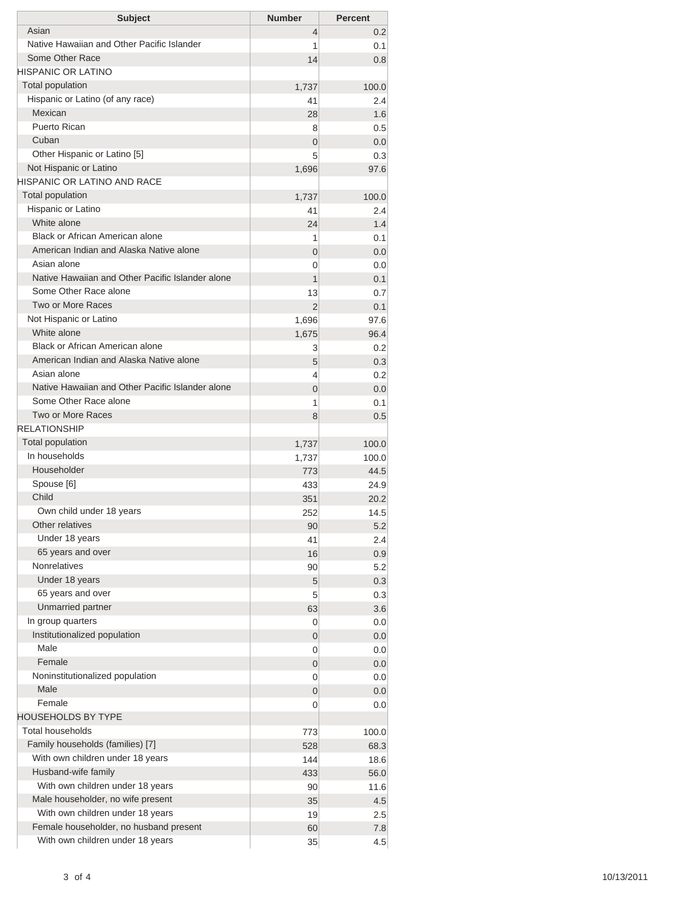| <b>Subject</b>                                   | <b>Number</b>    | <b>Percent</b> |
|--------------------------------------------------|------------------|----------------|
| Asian                                            | $\overline{4}$   | 0.2            |
| Native Hawaiian and Other Pacific Islander       | 1                | 0.1            |
| Some Other Race                                  | 14               | 0.8            |
| <b>HISPANIC OR LATINO</b>                        |                  |                |
| <b>Total population</b>                          | 1,737            | 100.0          |
| Hispanic or Latino (of any race)                 | 41               | 2.4            |
| Mexican                                          | 28               | 1.6            |
| Puerto Rican                                     | 8                | 0.5            |
| Cuban                                            | $\overline{0}$   | 0.0            |
| Other Hispanic or Latino [5]                     | 5                | 0.3            |
| Not Hispanic or Latino                           | 1,696            | 97.6           |
| HISPANIC OR LATINO AND RACE                      |                  |                |
| <b>Total population</b>                          | 1,737            | 100.0          |
| Hispanic or Latino<br>White alone                | 41               | 2.4            |
| Black or African American alone                  | 24               | 1.4            |
| American Indian and Alaska Native alone          | 1                | 0.1            |
| Asian alone                                      | 0                | 0.0            |
| Native Hawaiian and Other Pacific Islander alone | 0                | 0.0            |
| Some Other Race alone                            | 1                | 0.1            |
| Two or More Races                                | 13               | 0.7            |
| Not Hispanic or Latino                           | $\overline{2}$   | 0.1            |
| White alone                                      | 1,696            | 97.6           |
| Black or African American alone                  | 1,675            | 96.4           |
| American Indian and Alaska Native alone          | 3                | 0.2<br>0.3     |
| Asian alone                                      | 5<br>4           | 0.2            |
| Native Hawaiian and Other Pacific Islander alone | $\overline{0}$   | 0.0            |
| Some Other Race alone                            | 1                | 0.1            |
| Two or More Races                                | 8                | 0.5            |
| <b>RELATIONSHIP</b>                              |                  |                |
| <b>Total population</b>                          | 1,737            | 100.0          |
| In households                                    | 1,737            | 100.0          |
| Householder                                      | 773              | 44.5           |
| Spouse [6]                                       | 433              | 24.9           |
| Child                                            | 351              | 20.2           |
| Own child under 18 years                         | 252              | 14.5           |
| Other relatives                                  | 90               | 5.2            |
| Under 18 years                                   | 41               | 2.4            |
| 65 years and over                                | 16               | 0.9            |
| <b>Nonrelatives</b>                              | 90               | 5.2            |
| Under 18 years                                   | 5                | 0.3            |
| 65 years and over                                | 5                | 0.3            |
| Unmarried partner                                | 63               | 3.6            |
| In group quarters                                | 0                | 0.0            |
| Institutionalized population                     | $\boldsymbol{0}$ | 0.0            |
| Male                                             | 0                | 0.0            |
| Female                                           | 0                | 0.0            |
| Noninstitutionalized population                  | 0                | 0.0            |
| Male                                             | 0                | 0.0            |
| Female                                           | 0                | 0.0            |
| <b>HOUSEHOLDS BY TYPE</b>                        |                  |                |
| <b>Total households</b>                          | 773              | 100.0          |
| Family households (families) [7]                 | 528              | 68.3           |
| With own children under 18 years                 | 144              | 18.6           |
| Husband-wife family                              | 433              | 56.0           |
| With own children under 18 years                 | 90               | 11.6           |
| Male householder, no wife present                | 35               | 4.5            |
| With own children under 18 years                 | 19               | 2.5            |
| Female householder, no husband present           | 60               | 7.8            |
| With own children under 18 years                 | 35               | 4.5            |